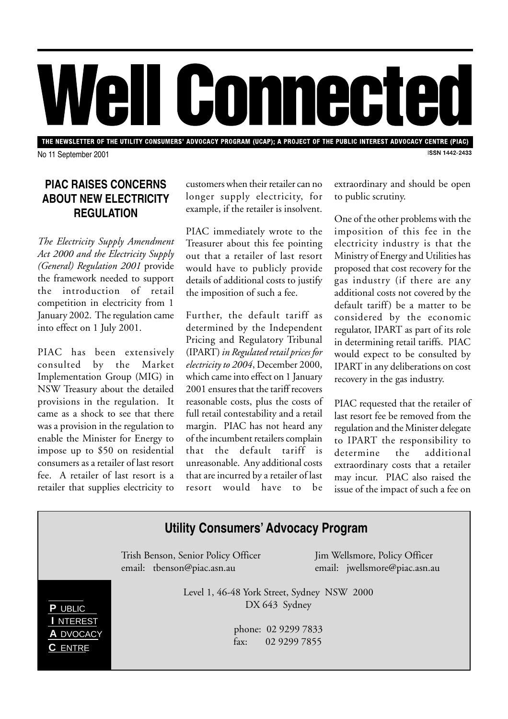

THE NEWSLETTER OF THE UTILITY CONSUMERS' ADVOCACY PROGRAM (UCAP); A PROJECT OF THE PUBLIC INTEREST ADVOCACY CENTRE (PIAC) **ISSN 1442-2433** 

No 11 September 2001

# **PIAC RAISES CONCERNS ABOUT NEW ELECTRICITY REGULATION**

*The Electricity Supply Amendment Act 2000 and the Electricity Supply (General) Regulation 2001* provide the framework needed to support the introduction of retail competition in electricity from 1 January 2002. The regulation came into effect on 1 July 2001.

PIAC has been extensively consulted by the Market Implementation Group (MIG) in NSW Treasury about the detailed provisions in the regulation. It came as a shock to see that there was a provision in the regulation to enable the Minister for Energy to impose up to \$50 on residential consumers as a retailer of last resort fee. A retailer of last resort is a retailer that supplies electricity to

customers when their retailer can no longer supply electricity, for example, if the retailer is insolvent.

PIAC immediately wrote to the Treasurer about this fee pointing out that a retailer of last resort would have to publicly provide details of additional costs to justify the imposition of such a fee.

Further, the default tariff as determined by the Independent Pricing and Regulatory Tribunal (IPART) *in Regulated retail prices for electricity to 2004*, December 2000, which came into effect on 1 January 2001 ensures that the tariff recovers reasonable costs, plus the costs of full retail contestability and a retail margin. PIAC has not heard any of the incumbent retailers complain that the default tariff is unreasonable. Any additional costs that are incurred by a retailer of last resort would have to be

extraordinary and should be open to public scrutiny.

One of the other problems with the imposition of this fee in the electricity industry is that the Ministry of Energy and Utilities has proposed that cost recovery for the gas industry (if there are any additional costs not covered by the default tariff) be a matter to be considered by the economic regulator, IPART as part of its role in determining retail tariffs. PIAC would expect to be consulted by IPART in any deliberations on cost recovery in the gas industry.

PIAC requested that the retailer of last resort fee be removed from the regulation and the Minister delegate to IPART the responsibility to determine the additional extraordinary costs that a retailer may incur. PIAC also raised the issue of the impact of such a fee on

### **Utility Consumers' Advocacy Program** Trish Benson, Senior Policy Officer Jim Wellsmore, Policy Officer email: tbenson@piac.asn.au email: jwellsmore@piac.asn.au Level 1, 46-48 York Street, Sydney NSW 2000 DX 643 Sydney phone: 02 9299 7833 fax: 02 9299 7855 **P** UBLIC **I** NTEREST **A** DVOCACY **C** ENTRE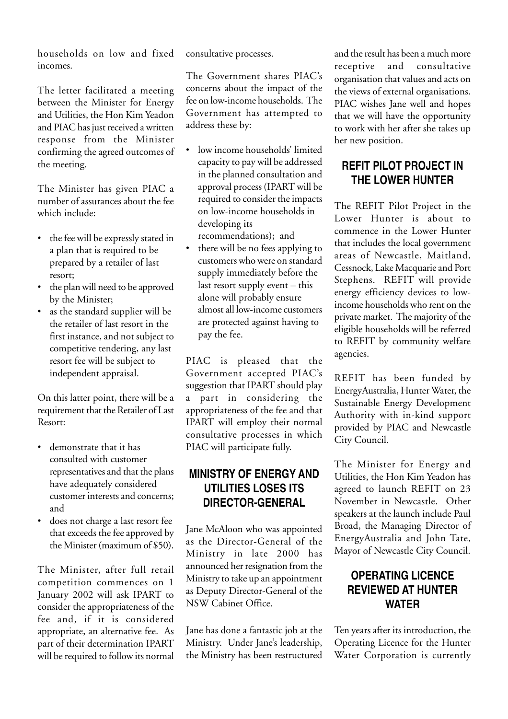households on low and fixed incomes.

The letter facilitated a meeting between the Minister for Energy and Utilities, the Hon Kim Yeadon and PIAC has just received a written response from the Minister confirming the agreed outcomes of the meeting.

The Minister has given PIAC a number of assurances about the fee which include:

- the fee will be expressly stated in a plan that is required to be prepared by a retailer of last resort;
- the plan will need to be approved by the Minister;
- as the standard supplier will be the retailer of last resort in the first instance, and not subject to competitive tendering, any last resort fee will be subject to independent appraisal.

On this latter point, there will be a requirement that the Retailer of Last Resort:

- demonstrate that it has consulted with customer representatives and that the plans have adequately considered customer interests and concerns; and
- does not charge a last resort fee that exceeds the fee approved by the Minister (maximum of \$50).

The Minister, after full retail competition commences on 1 January 2002 will ask IPART to consider the appropriateness of the fee and, if it is considered appropriate, an alternative fee. As part of their determination IPART will be required to follow its normal consultative processes.

The Government shares PIAC's concerns about the impact of the fee on low-income households. The Government has attempted to address these by:

- low income households' limited capacity to pay will be addressed in the planned consultation and approval process (IPART will be required to consider the impacts on low-income households in developing its recommendations); and
- there will be no fees applying to customers who were on standard supply immediately before the last resort supply event – this alone will probably ensure almost all low-income customers are protected against having to pay the fee.

PIAC is pleased that the Government accepted PIAC's suggestion that IPART should play a part in considering the appropriateness of the fee and that IPART will employ their normal consultative processes in which PIAC will participate fully.

## **MINISTRY OF ENERGY AND UTILITIES LOSES ITS DIRECTOR-GENERAL**

Jane McAloon who was appointed as the Director-General of the Ministry in late 2000 has announced her resignation from the Ministry to take up an appointment as Deputy Director-General of the NSW Cabinet Office.

Jane has done a fantastic job at the Ministry. Under Jane's leadership, the Ministry has been restructured

and the result has been a much more receptive and consultative organisation that values and acts on the views of external organisations. PIAC wishes Jane well and hopes that we will have the opportunity to work with her after she takes up her new position.

## **REFIT PILOT PROJECT IN THE LOWER HUNTER**

The REFIT Pilot Project in the Lower Hunter is about to commence in the Lower Hunter that includes the local government areas of Newcastle, Maitland, Cessnock, Lake Macquarie and Port Stephens. REFIT will provide energy efficiency devices to lowincome households who rent on the private market. The majority of the eligible households will be referred to REFIT by community welfare agencies.

REFIT has been funded by EnergyAustralia, Hunter Water, the Sustainable Energy Development Authority with in-kind support provided by PIAC and Newcastle City Council.

The Minister for Energy and Utilities, the Hon Kim Yeadon has agreed to launch REFIT on 23 November in Newcastle. Other speakers at the launch include Paul Broad, the Managing Director of EnergyAustralia and John Tate, Mayor of Newcastle City Council.

## **OPERATING LICENCE REVIEWED AT HUNTER WATER**

Ten years after its introduction, the Operating Licence for the Hunter Water Corporation is currently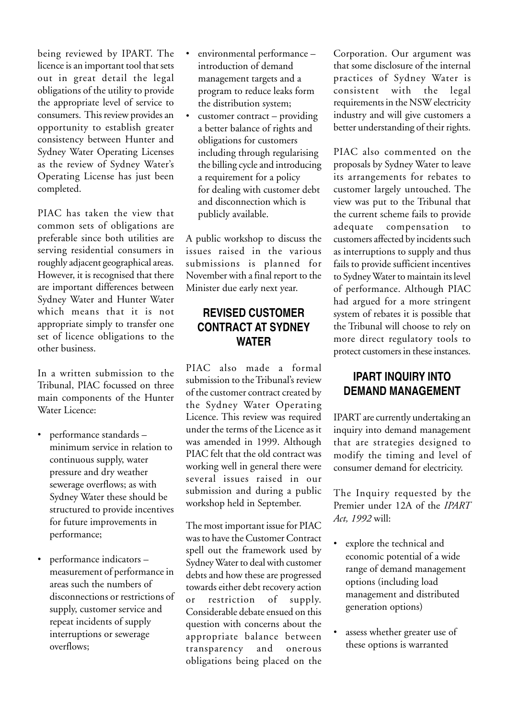being reviewed by IPART. The licence is an important tool that sets out in great detail the legal obligations of the utility to provide the appropriate level of service to consumers. This review provides an opportunity to establish greater consistency between Hunter and Sydney Water Operating Licenses as the review of Sydney Water's Operating License has just been completed.

PIAC has taken the view that common sets of obligations are preferable since both utilities are serving residential consumers in roughly adjacent geographical areas. However, it is recognised that there are important differences between Sydney Water and Hunter Water which means that it is not appropriate simply to transfer one set of licence obligations to the other business.

In a written submission to the Tribunal, PIAC focussed on three main components of the Hunter Water Licence:

- performance standards minimum service in relation to continuous supply, water pressure and dry weather sewerage overflows; as with Sydney Water these should be structured to provide incentives for future improvements in performance;
- performance indicators measurement of performance in areas such the numbers of disconnections or restrictions of supply, customer service and repeat incidents of supply interruptions or sewerage overflows;
- environmental performance introduction of demand management targets and a program to reduce leaks form the distribution system;
- $c$ ustomer contract providing a better balance of rights and obligations for customers including through regularising the billing cycle and introducing a requirement for a policy for dealing with customer debt and disconnection which is publicly available.

A public workshop to discuss the issues raised in the various submissions is planned for November with a final report to the Minister due early next year.

#### **REVISED CUSTOMER CONTRACT AT SYDNEY WATER**

PIAC also made a formal submission to the Tribunal's review of the customer contract created by the Sydney Water Operating Licence. This review was required under the terms of the Licence as it was amended in 1999. Although PIAC felt that the old contract was working well in general there were several issues raised in our submission and during a public workshop held in September.

The most important issue for PIAC was to have the Customer Contract spell out the framework used by Sydney Water to deal with customer debts and how these are progressed towards either debt recovery action or restriction of supply. Considerable debate ensued on this question with concerns about the appropriate balance between transparency and onerous obligations being placed on the

Corporation. Our argument was that some disclosure of the internal practices of Sydney Water is consistent with the legal requirements in the NSW electricity industry and will give customers a better understanding of their rights.

PIAC also commented on the proposals by Sydney Water to leave its arrangements for rebates to customer largely untouched. The view was put to the Tribunal that the current scheme fails to provide adequate compensation to customers affected by incidents such as interruptions to supply and thus fails to provide sufficient incentives to Sydney Water to maintain its level of performance. Although PIAC had argued for a more stringent system of rebates it is possible that the Tribunal will choose to rely on more direct regulatory tools to protect customers in these instances.

## **IPART INQUIRY INTO DEMAND MANAGEMENT**

IPART are currently undertaking an inquiry into demand management that are strategies designed to modify the timing and level of consumer demand for electricity.

The Inquiry requested by the Premier under 12A of the *IPART Act, 1992* will:

- explore the technical and economic potential of a wide range of demand management options (including load management and distributed generation options)
- assess whether greater use of these options is warranted